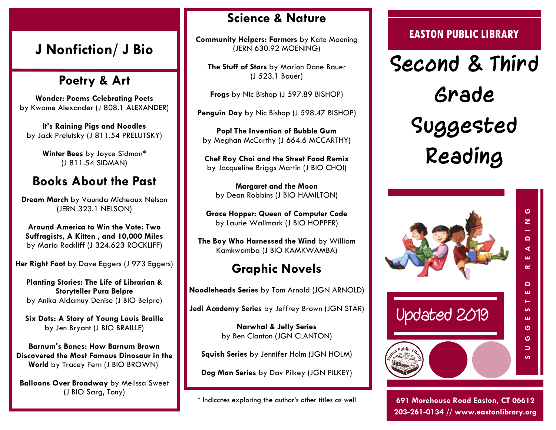## **J Nonfiction/ J Bio**

## **Poetry & Art**

**Wonder: Poems Celebrating Poets**  by Kwame Alexander (J 808.1 ALEXANDER)

**It's Raining Pigs and Noodles**  by Jack Prelutsky (J 811.54 PRELUTSKY)

> **Winter Bees** by Joyce Sidman\* (J 811.54 SIDMAN)

## **Books About the Past**

**Dream March** by Vaunda Micheaux Nelson (JERN 323.1 NELSON)

**Around America to Win the Vote: Two Suffragists, A Kitten , and 10,000 Miles** by Maria Rockliff (J 324.623 ROCKLIFF)

**Her Right Foot** by Dave Eggers (J 973 Eggers)

**Planting Stories: The Life of Librarian & Storyteller Pura Belpre**  by Anika Aldamuy Denise (J BIO Belpre)

**Six Dots: A Story of Young Louis Braille**  by Jen Bryant (J BIO BRAILLE)

**Barnum's Bones: How Barnum Brown Discovered the Most Famous Dinosaur in the World** by Tracey Fern (J BIO BROWN)

**Balloons Over Broadway** by Melissa Sweet (J BIO Sarg, Tony)

#### **Science & Nature**

**Community Helpers: Farmers** by Kate Moening (JERN 630.92 MOENING)

**The Stuff of Stars** by Marion Dane Bauer (J 523.1 Bauer)

**Frogs** by Nic Bishop (J 597.89 BISHOP)

**Penguin Day** by Nic Bishop (J 598.47 BISHOP)

**Pop! The Invention of Bubble Gum**  by Meghan McCarthy (J 664.6 MCCARTHY)

**Chef Roy Choi and the Street Food Remix**  by Jacqueline Briggs Martin (J BIO CHOI)

**Margaret and the Moon**  by Dean Robbins (J BIO HAMILTON)

**Grace Hopper: Queen of Computer Code**  by Laurie Wallmark (J BIO HOPPER)

**The Boy Who Harnessed the Wind** by William Kamkwamba (J BIO KAMKWAMBA)

# **Graphic Novels**

**Noodleheads Series** by Tom Arnold (JGN ARNOLD)

**Jedi Academy Series** by Jeffrey Brown (JGN STAR)

**Narwhal & Jelly Series**  by Ben Clanton (JGN CLANTON)

**Squish Series** by Jennifer Holm (JGN HOLM)

**Dog Man Series** by Dav Pilkey (JGN PILKEY)

\* Indicates exploring the author's other titles as well

#### **EASTON PUBLIC LIBRARY**

**Second & Third Grade Suggested Reading**



**691 Morehouse Road Easton, CT 06612 203-261-0134 // www.eastonlibrary.org**